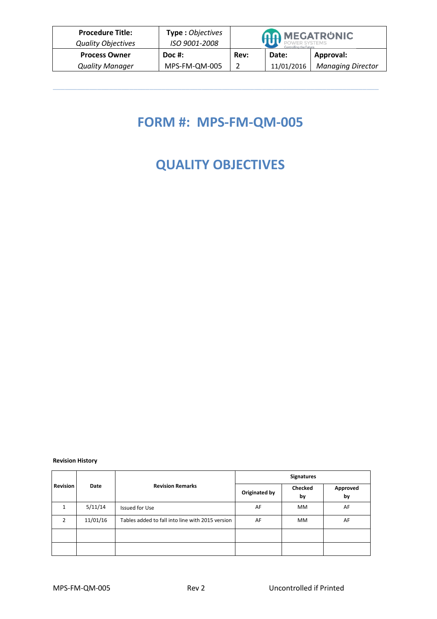| <b>Procedure Title:</b><br><b>Quality Objectives</b> | Type: Objectives<br>ISO 9001-2008 |      | <b>AA MEGATRUNIC</b><br>Controlling the Futuri |                          |  |
|------------------------------------------------------|-----------------------------------|------|------------------------------------------------|--------------------------|--|
| <b>Process Owner</b>                                 | Doc #:                            | Rev: | Date:                                          | Approval:                |  |
| <b>Quality Manager</b>                               | MPS-FM-QM-005                     |      | 11/01/2016                                     | <b>Managing Director</b> |  |

 $\mathcal{L}_\mathcal{L} = \mathcal{L}_\mathcal{L} = \mathcal{L}_\mathcal{L} = \mathcal{L}_\mathcal{L} = \mathcal{L}_\mathcal{L} = \mathcal{L}_\mathcal{L} = \mathcal{L}_\mathcal{L} = \mathcal{L}_\mathcal{L} = \mathcal{L}_\mathcal{L} = \mathcal{L}_\mathcal{L} = \mathcal{L}_\mathcal{L} = \mathcal{L}_\mathcal{L} = \mathcal{L}_\mathcal{L} = \mathcal{L}_\mathcal{L} = \mathcal{L}_\mathcal{L} = \mathcal{L}_\mathcal{L} = \mathcal{L}_\mathcal{L}$ 

## **FORM #: MPS-FM-QM-005**

## **QUALITY OBJECTIVES**

## **Revision History**

|                 |          |                                                  | <b>Signatures</b> |               |                |  |
|-----------------|----------|--------------------------------------------------|-------------------|---------------|----------------|--|
| <b>Revision</b> | Date     | <b>Revision Remarks</b>                          | Originated by     | Checked<br>by | Approved<br>by |  |
|                 | 5/11/14  | <b>Issued for Use</b>                            | AF                | <b>MM</b>     | AF             |  |
| $\mathcal{P}$   | 11/01/16 | Tables added to fall into line with 2015 version | AF                | <b>MM</b>     | AF             |  |
|                 |          |                                                  |                   |               |                |  |
|                 |          |                                                  |                   |               |                |  |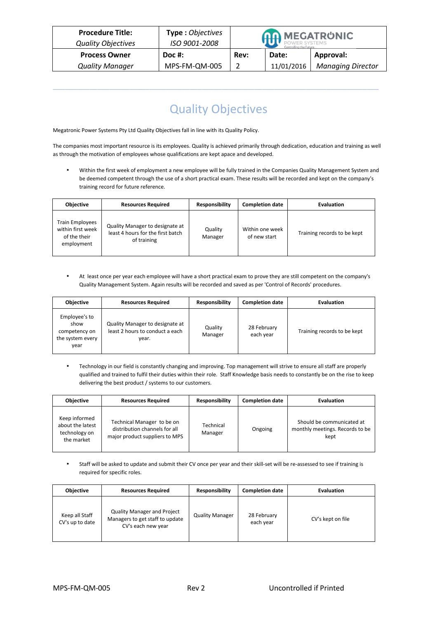| <b>Procedure Title:</b><br><b>Quality Objectives</b> | <b>Type: Objectives</b><br>ISO 9001-2008 | <b>AA MEGATRUNIC</b> |            |                          |
|------------------------------------------------------|------------------------------------------|----------------------|------------|--------------------------|
| <b>Process Owner</b>                                 | $Doc$ #:                                 | Rev:                 | Date:      | Approval:                |
| <b>Quality Manager</b>                               | MPS-FM-QM-005                            |                      | 11/01/2016 | <b>Managing Director</b> |

## Quality Objectives

 $\mathcal{L}_\mathcal{L} = \mathcal{L}_\mathcal{L} = \mathcal{L}_\mathcal{L} = \mathcal{L}_\mathcal{L} = \mathcal{L}_\mathcal{L} = \mathcal{L}_\mathcal{L} = \mathcal{L}_\mathcal{L} = \mathcal{L}_\mathcal{L} = \mathcal{L}_\mathcal{L} = \mathcal{L}_\mathcal{L} = \mathcal{L}_\mathcal{L} = \mathcal{L}_\mathcal{L} = \mathcal{L}_\mathcal{L} = \mathcal{L}_\mathcal{L} = \mathcal{L}_\mathcal{L} = \mathcal{L}_\mathcal{L} = \mathcal{L}_\mathcal{L}$ 

Megatronic Power Systems Pty Ltd Quality Objectives fall in line with its Quality Policy.

The companies most important resource is its employees. Quality is achieved primarily through dedication, education and training as well as through the motivation of employees whose qualifications are kept apace and developed.

• Within the first week of employment a new employee will be fully trained in the Companies Quality Management System and be deemed competent through the use of a short practical exam. These results will be recorded and kept on the company's training record for future reference.

| <b>Objective</b>                                                          | <b>Resources Required</b>                                                           | <b>Responsibility</b> | <b>Completion date</b>          | <b>Evaluation</b>           |
|---------------------------------------------------------------------------|-------------------------------------------------------------------------------------|-----------------------|---------------------------------|-----------------------------|
| <b>Train Employees</b><br>within first week<br>of the their<br>employment | Quality Manager to designate at<br>least 4 hours for the first batch<br>of training | Quality<br>Manager    | Within one week<br>of new start | Training records to be kept |

• At least once per year each employee will have a short practical exam to prove they are still competent on the company's Quality Management System. Again results will be recorded and saved as per 'Control of Records' procedures.

| <b>Objective</b>                                                   | <b>Resources Required</b>                                                   | <b>Responsibility</b> | <b>Completion date</b>   | <b>Evaluation</b>           |
|--------------------------------------------------------------------|-----------------------------------------------------------------------------|-----------------------|--------------------------|-----------------------------|
| Employee's to<br>show<br>competency on<br>the system every<br>vear | Quality Manager to designate at<br>least 2 hours to conduct a each<br>year. | Quality<br>Manager    | 28 February<br>each year | Training records to be kept |

• Technology in our field is constantly changing and improving. Top management will strive to ensure all staff are properly qualified and trained to fulfil their duties within their role. Staff Knowledge basis needs to constantly be on the rise to keep delivering the best product / systems to our customers.

| <b>Objective</b>                                                 | <b>Resources Required</b>                                                                     | Responsibility       | <b>Completion date</b> | <b>Evaluation</b>                                                    |
|------------------------------------------------------------------|-----------------------------------------------------------------------------------------------|----------------------|------------------------|----------------------------------------------------------------------|
| Keep informed<br>about the latest<br>technology on<br>the market | Technical Manager to be on<br>distribution channels for all<br>major product suppliers to MPS | Technical<br>Manager | Ongoing                | Should be communicated at<br>monthly meetings. Records to be<br>kept |

• Staff will be asked to update and submit their CV once per year and their skill-set will be re-assessed to see if training is required for specific roles.

| <b>Objective</b>                  | <b>Resources Required</b>                                                                   | Responsibility         | <b>Completion date</b>   | <b>Evaluation</b> |
|-----------------------------------|---------------------------------------------------------------------------------------------|------------------------|--------------------------|-------------------|
| Keep all Staff<br>CV's up to date | <b>Quality Manager and Project</b><br>Managers to get staff to update<br>CV's each new year | <b>Quality Manager</b> | 28 February<br>each year | CV's kept on file |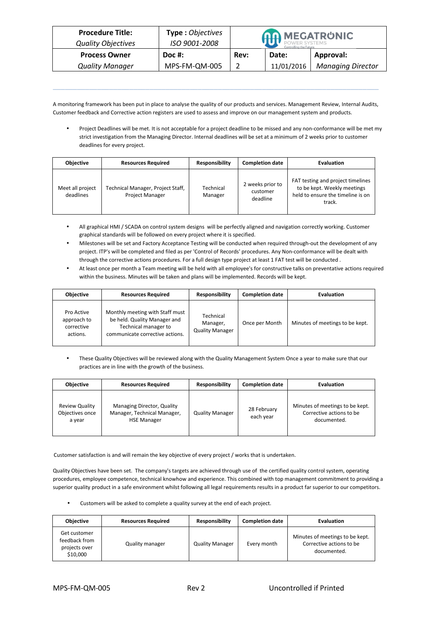| <b>Procedure Title:</b>   | <b>Type: Objectives</b> |      | <b>AA MEGATRUNIC</b> |                          |
|---------------------------|-------------------------|------|----------------------|--------------------------|
| <b>Quality Objectives</b> | ISO 9001-2008           |      |                      |                          |
| <b>Process Owner</b>      | Doc #:                  | Rev: | Date:                | Approval:                |
| <b>Quality Manager</b>    | MPS-FM-QM-005           |      | 11/01/2016           | <b>Managing Director</b> |

A monitoring framework has been put in place to analyse the quality of our products and services. Management Review, Internal Audits, Customer feedback and Corrective action registers are used to assess and improve on our management system and products.

 $\mathcal{L}_\mathcal{L} = \mathcal{L}_\mathcal{L} = \mathcal{L}_\mathcal{L} = \mathcal{L}_\mathcal{L} = \mathcal{L}_\mathcal{L} = \mathcal{L}_\mathcal{L} = \mathcal{L}_\mathcal{L} = \mathcal{L}_\mathcal{L} = \mathcal{L}_\mathcal{L} = \mathcal{L}_\mathcal{L} = \mathcal{L}_\mathcal{L} = \mathcal{L}_\mathcal{L} = \mathcal{L}_\mathcal{L} = \mathcal{L}_\mathcal{L} = \mathcal{L}_\mathcal{L} = \mathcal{L}_\mathcal{L} = \mathcal{L}_\mathcal{L}$ 

• Project Deadlines will be met. It is not acceptable for a project deadline to be missed and any non-conformance will be met my strict investigation from the Managing Director. Internal deadlines will be set at a minimum of 2 weeks prior to customer deadlines for every project.

| <b>Objective</b>              | <b>Resources Required</b>                            | <b>Responsibility</b> | <b>Completion date</b>                   | <b>Evaluation</b>                                                                                               |
|-------------------------------|------------------------------------------------------|-----------------------|------------------------------------------|-----------------------------------------------------------------------------------------------------------------|
| Meet all project<br>deadlines | Technical Manager, Project Staff,<br>Project Manager | Technical<br>Manager  | 2 weeks prior to<br>customer<br>deadline | FAT testing and project timelines<br>to be kept. Weekly meetings<br>held to ensure the timeline is on<br>track. |

- All graphical HMI / SCADA on control system designs will be perfectly aligned and navigation correctly working. Customer graphical standards will be followed on every project where it is specified.
- Milestones will be set and Factory Acceptance Testing will be conducted when required through-out the development of any project. ITP's will be completed and filed as per 'Control of Records' procedures. Any Non-conformance will be dealt with through the corrective actions procedures. For a full design type project at least 1 FAT test will be conducted .
- At least once per month a Team meeting will be held with all employee's for constructive talks on preventative actions required within the business. Minutes will be taken and plans will be implemented. Records will be kept.

| <b>Objective</b>                                    | <b>Resources Required</b>                                                                                                  | <b>Responsibility</b>                           | <b>Completion date</b> | <b>Evaluation</b>               |
|-----------------------------------------------------|----------------------------------------------------------------------------------------------------------------------------|-------------------------------------------------|------------------------|---------------------------------|
| Pro Active<br>approach to<br>corrective<br>actions. | Monthly meeting with Staff must<br>be held. Quality Manager and<br>Technical manager to<br>communicate corrective actions. | Technical<br>Manager,<br><b>Quality Manager</b> | Once per Month         | Minutes of meetings to be kept. |

• These Quality Objectives will be reviewed along with the Quality Management System Once a year to make sure that our practices are in line with the growth of the business.

| <b>Objective</b>                                   | <b>Resources Required</b>                                                       | Responsibility         | <b>Completion date</b>   | <b>Evaluation</b>                                                          |
|----------------------------------------------------|---------------------------------------------------------------------------------|------------------------|--------------------------|----------------------------------------------------------------------------|
| <b>Review Quality</b><br>Objectives once<br>a year | Managing Director, Quality<br>Manager, Technical Manager,<br><b>HSE Manager</b> | <b>Quality Manager</b> | 28 February<br>each year | Minutes of meetings to be kept.<br>Corrective actions to be<br>documented. |

Customer satisfaction is and will remain the key objective of every project / works that is undertaken.

Quality Objectives have been set. The company's targets are achieved through use of the certified quality control system, operating procedures, employee competence, technical knowhow and experience. This combined with top management commitment to providing a superior quality product in a safe environment whilst following all legal requirements results in a product far superior to our competitors.

• Customers will be asked to complete a quality survey at the end of each project.

| <b>Objective</b>                                           | <b>Resources Required</b> | <b>Responsibility</b>  | <b>Completion date</b> | <b>Evaluation</b>                                                          |
|------------------------------------------------------------|---------------------------|------------------------|------------------------|----------------------------------------------------------------------------|
| Get customer<br>feedback from<br>projects over<br>\$10,000 | <b>Quality manager</b>    | <b>Quality Manager</b> | Every month            | Minutes of meetings to be kept.<br>Corrective actions to be<br>documented. |